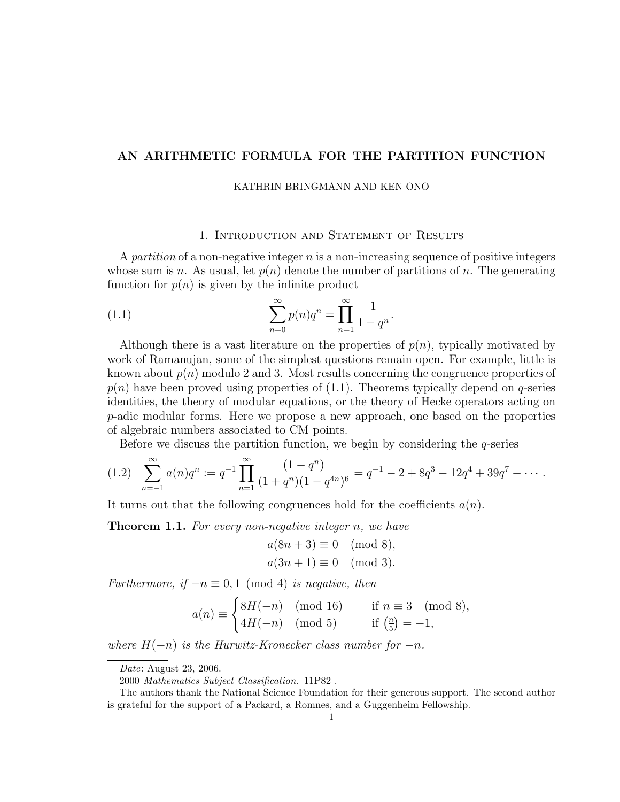# AN ARITHMETIC FORMULA FOR THE PARTITION FUNCTION

#### KATHRIN BRINGMANN AND KEN ONO

## 1. Introduction and Statement of Results

A partition of a non-negative integer  $n$  is a non-increasing sequence of positive integers whose sum is n. As usual, let  $p(n)$  denote the number of partitions of n. The generating function for  $p(n)$  is given by the infinite product

(1.1) 
$$
\sum_{n=0}^{\infty} p(n)q^n = \prod_{n=1}^{\infty} \frac{1}{1-q^n}.
$$

Although there is a vast literature on the properties of  $p(n)$ , typically motivated by work of Ramanujan, some of the simplest questions remain open. For example, little is known about  $p(n)$  modulo 2 and 3. Most results concerning the congruence properties of  $p(n)$  have been proved using properties of (1.1). Theorems typically depend on q-series identities, the theory of modular equations, or the theory of Hecke operators acting on p-adic modular forms. Here we propose a new approach, one based on the properties of algebraic numbers associated to CM points.

Before we discuss the partition function, we begin by considering the  $q$ -series

$$
(1.2) \sum_{n=-1}^{\infty} a(n)q^n := q^{-1} \prod_{n=1}^{\infty} \frac{(1-q^n)}{(1+q^n)(1-q^{4n})^6} = q^{-1} - 2 + 8q^3 - 12q^4 + 39q^7 - \cdots
$$

It turns out that the following congruences hold for the coefficients  $a(n)$ .

**Theorem 1.1.** For every non-negative integer n, we have

$$
a(8n + 3) \equiv 0 \pmod{8},
$$
  

$$
a(3n + 1) \equiv 0 \pmod{3}.
$$

Furthermore, if  $-n \equiv 0, 1 \pmod{4}$  is negative, then

$$
a(n) \equiv \begin{cases} 8H(-n) \pmod{16} & \text{if } n \equiv 3 \pmod{8}, \\ 4H(-n) \pmod{5} & \text{if } \left(\frac{n}{5}\right) = -1, \end{cases}
$$

where  $H(-n)$  is the Hurwitz-Kronecker class number for  $-n$ .

Date: August 23, 2006.

<sup>2000</sup> Mathematics Subject Classification. 11P82 .

The authors thank the National Science Foundation for their generous support. The second author is grateful for the support of a Packard, a Romnes, and a Guggenheim Fellowship.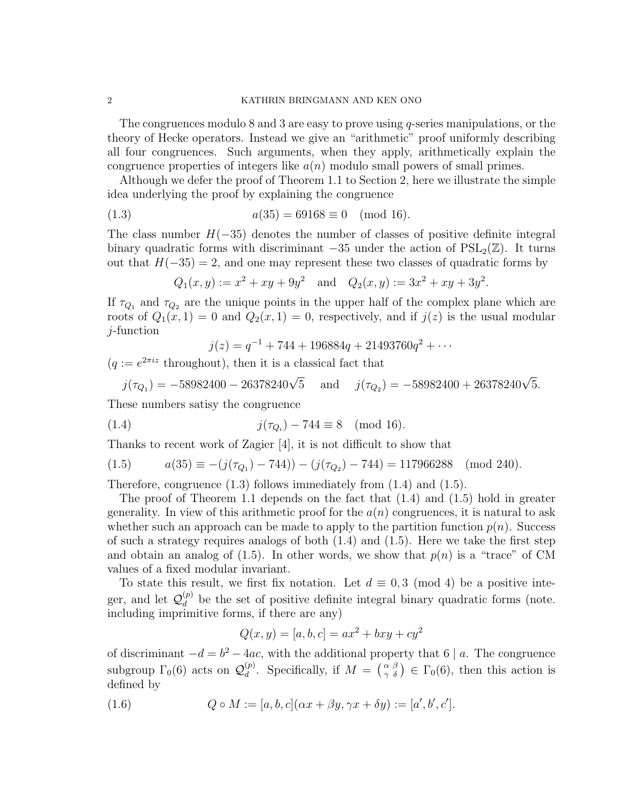#### 2 KATHRIN BRINGMANN AND KEN ONO

The congruences modulo 8 and 3 are easy to prove using q-series manipulations, or the theory of Hecke operators. Instead we give an "arithmetic" proof uniformly describing all four congruences. Such arguments, when they apply, arithmetically explain the congruence properties of integers like  $a(n)$  modulo small powers of small primes.

Although we defer the proof of Theorem 1.1 to Section 2, here we illustrate the simple idea underlying the proof by explaining the congruence

(1.3) 
$$
a(35) = 69168 \equiv 0 \pmod{16}.
$$

The class number  $H(-35)$  denotes the number of classes of positive definite integral binary quadratic forms with discriminant  $-35$  under the action of  $PSL_2(\mathbb{Z})$ . It turns out that  $H(-35) = 2$ , and one may represent these two classes of quadratic forms by

$$
Q_1(x, y) := x^2 + xy + 9y^2
$$
 and  $Q_2(x, y) := 3x^2 + xy + 3y^2$ .

If  $\tau_{Q_1}$  and  $\tau_{Q_2}$  are the unique points in the upper half of the complex plane which are roots of  $Q_1(x, 1) = 0$  and  $Q_2(x, 1) = 0$ , respectively, and if  $j(z)$  is the usual modular j-function

$$
j(z) = q^{-1} + 744 + 196884q + 21493760q^{2} + \cdots
$$

 $(q := e^{2\pi i z}$  throughout), then it is a classical fact that

$$
j(\tau_{Q_1}) = -58982400 - 26378240\sqrt{5}
$$
 and  $j(\tau_{Q_2}) = -58982400 + 26378240\sqrt{5}$ .

These numbers satisy the congruence

(1.4) 
$$
j(\tau_{Q_i}) - 744 \equiv 8 \pmod{16}
$$
.

Thanks to recent work of Zagier [4], it is not difficult to show that

$$
(1.5) \t a(35) \equiv -(j(\tau_{Q_1}) - 744)) - (j(\tau_{Q_2}) - 744) = 117966288 \pmod{240}.
$$

Therefore, congruence (1.3) follows immediately from (1.4) and (1.5).

The proof of Theorem 1.1 depends on the fact that  $(1.4)$  and  $(1.5)$  hold in greater generality. In view of this arithmetic proof for the  $a(n)$  congruences, it is natural to ask whether such an approach can be made to apply to the partition function  $p(n)$ . Success of such a strategy requires analogs of both  $(1.4)$  and  $(1.5)$ . Here we take the first step and obtain an analog of  $(1.5)$ . In other words, we show that  $p(n)$  is a "trace" of CM values of a fixed modular invariant.

To state this result, we first fix notation. Let  $d \equiv 0,3 \pmod{4}$  be a positive integer, and let  $\mathcal{Q}_d^{(p)}$  $\frac{p}{d}$  be the set of positive definite integral binary quadratic forms (note. including imprimitive forms, if there are any)

$$
Q(x, y) = [a, b, c] = ax^{2} + bxy + cy^{2}
$$

of discriminant  $-d = b^2 - 4ac$ , with the additional property that 6 | a. The congruence subgroup  $\Gamma_0(6)$  acts on  $\mathcal{Q}_d^{(p)}$  $\mathcal{L}_d^{(p)}$ . Specifically, if  $M = \begin{pmatrix} \alpha & \beta \\ \gamma & \delta \end{pmatrix} \in \Gamma_0(6)$ , then this action is defined by

(1.6) 
$$
Q \circ M := [a, b, c](\alpha x + \beta y, \gamma x + \delta y) := [a', b', c'].
$$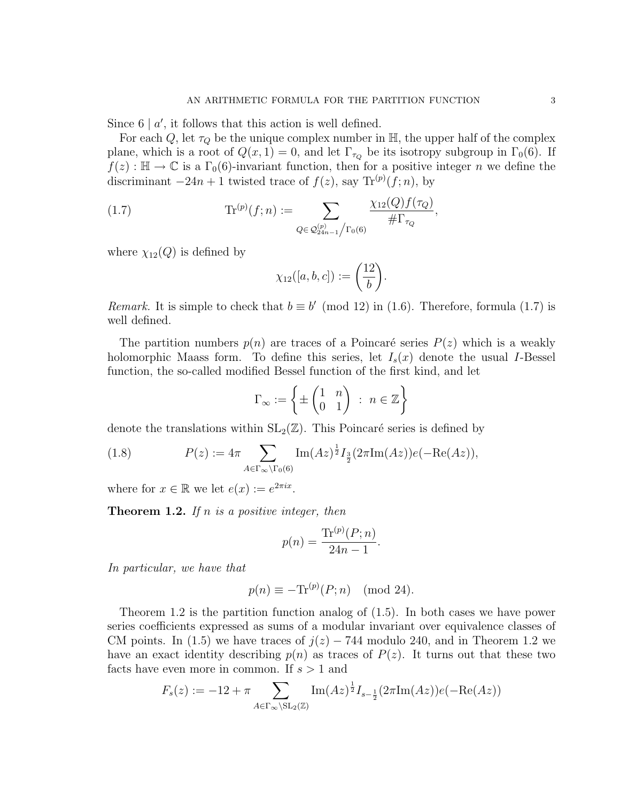Since  $6 \mid a'$ , it follows that this action is well defined.

For each Q, let  $\tau_Q$  be the unique complex number in  $\mathbb{H}$ , the upper half of the complex plane, which is a root of  $Q(x, 1) = 0$ , and let  $\Gamma_{\tau_Q}$  be its isotropy subgroup in  $\Gamma_0(6)$ . If  $f(z): \mathbb{H} \to \mathbb{C}$  is a  $\Gamma_0(6)$ -invariant function, then for a positive integer n we define the discriminant  $-24n+1$  twisted trace of  $f(z)$ , say  $\text{Tr}^{(p)}(f; n)$ , by

(1.7) 
$$
\text{Tr}^{(p)}(f;n) := \sum_{Q \in \mathcal{Q}_{24n-1}^{(p)}/\Gamma_0(6)} \frac{\chi_{12}(Q)f(\tau_Q)}{\# \Gamma_{\tau_Q}},
$$

where  $\chi_{12}(Q)$  is defined by

$$
\chi_{12}([a,b,c]) := \left(\frac{12}{b}\right).
$$

Remark. It is simple to check that  $b \equiv b' \pmod{12}$  in (1.6). Therefore, formula (1.7) is well defined.

The partition numbers  $p(n)$  are traces of a Poincaré series  $P(z)$  which is a weakly holomorphic Maass form. To define this series, let  $I_s(x)$  denote the usual I-Bessel function, the so-called modified Bessel function of the first kind, and let

$$
\Gamma_{\infty} := \left\{ \pm \begin{pmatrix} 1 & n \\ 0 & 1 \end{pmatrix} \; : \; n \in \mathbb{Z} \right\}
$$

denote the translations within  $SL_2(\mathbb{Z})$ . This Poincaré series is defined by

(1.8) 
$$
P(z) := 4\pi \sum_{A \in \Gamma_{\infty} \backslash \Gamma_0(6)} \text{Im}(Az)^{\frac{1}{2}} I_{\frac{3}{2}}(2\pi \text{Im}(Az)) e(-\text{Re}(Az)),
$$

where for  $x \in \mathbb{R}$  we let  $e(x) := e^{2\pi ix}$ .

**Theorem 1.2.** If n is a positive integer, then

$$
p(n) = \frac{\text{Tr}^{(p)}(P; n)}{24n - 1}.
$$

In particular, we have that

$$
p(n) \equiv -\text{Tr}^{(p)}(P; n) \pmod{24}.
$$

Theorem 1.2 is the partition function analog of (1.5). In both cases we have power series coefficients expressed as sums of a modular invariant over equivalence classes of CM points. In (1.5) we have traces of  $j(z) - 744$  modulo 240, and in Theorem 1.2 we have an exact identity describing  $p(n)$  as traces of  $P(z)$ . It turns out that these two facts have even more in common. If  $s > 1$  and

$$
F_s(z) := -12 + \pi \sum_{A \in \Gamma_{\infty} \backslash \mathrm{SL}_2(\mathbb{Z})} \mathrm{Im}(Az)^{\frac{1}{2}} I_{s-\frac{1}{2}}(2\pi \mathrm{Im}(Az)) e(-\mathrm{Re}(Az))
$$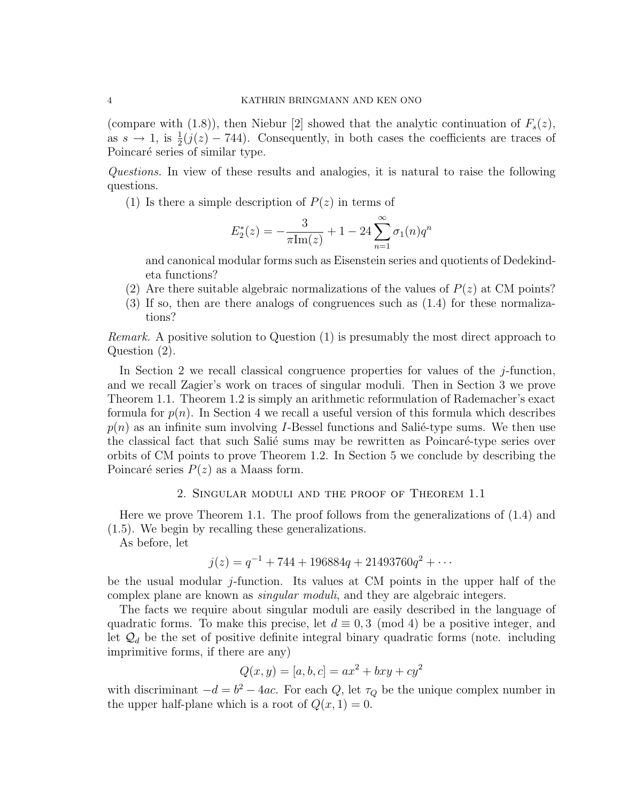(compare with (1.8)), then Niebur [2] showed that the analytic continuation of  $F_s(z)$ , as  $s \to 1$ , is  $\frac{1}{2}(j(z) - 744)$ . Consequently, in both cases the coefficients are traces of Poincaré series of similar type.

Questions. In view of these results and analogies, it is natural to raise the following questions.

(1) Is there a simple description of  $P(z)$  in terms of

$$
E_2^*(z) = -\frac{3}{\pi \text{Im}(z)} + 1 - 24 \sum_{n=1}^{\infty} \sigma_1(n) q^n
$$

and canonical modular forms such as Eisenstein series and quotients of Dedekindeta functions?

- (2) Are there suitable algebraic normalizations of the values of  $P(z)$  at CM points?
- (3) If so, then are there analogs of congruences such as (1.4) for these normalizations?

Remark. A positive solution to Question (1) is presumably the most direct approach to Question (2).

In Section 2 we recall classical congruence properties for values of the j-function, and we recall Zagier's work on traces of singular moduli. Then in Section 3 we prove Theorem 1.1. Theorem 1.2 is simply an arithmetic reformulation of Rademacher's exact formula for  $p(n)$ . In Section 4 we recall a useful version of this formula which describes  $p(n)$  as an infinite sum involving *I*-Bessel functions and Salie-type sums. We then use the classical fact that such Salié sums may be rewritten as Poincaré-type series over orbits of CM points to prove Theorem 1.2. In Section 5 we conclude by describing the Poincaré series  $P(z)$  as a Maass form.

### 2. Singular moduli and the proof of Theorem 1.1

Here we prove Theorem 1.1. The proof follows from the generalizations of (1.4) and (1.5). We begin by recalling these generalizations.

As before, let

$$
j(z) = q^{-1} + 744 + 196884q + 21493760q^{2} + \cdots
$$

be the usual modular  $j$ -function. Its values at CM points in the upper half of the complex plane are known as *singular moduli*, and they are algebraic integers.

The facts we require about singular moduli are easily described in the language of quadratic forms. To make this precise, let  $d \equiv 0, 3 \pmod{4}$  be a positive integer, and let  $\mathcal{Q}_d$  be the set of positive definite integral binary quadratic forms (note. including imprimitive forms, if there are any)

$$
Q(x, y) = [a, b, c] = ax^2 + bxy + cy^2
$$

with discriminant  $-d = b^2 - 4ac$ . For each Q, let  $\tau_Q$  be the unique complex number in the upper half-plane which is a root of  $Q(x, 1) = 0$ .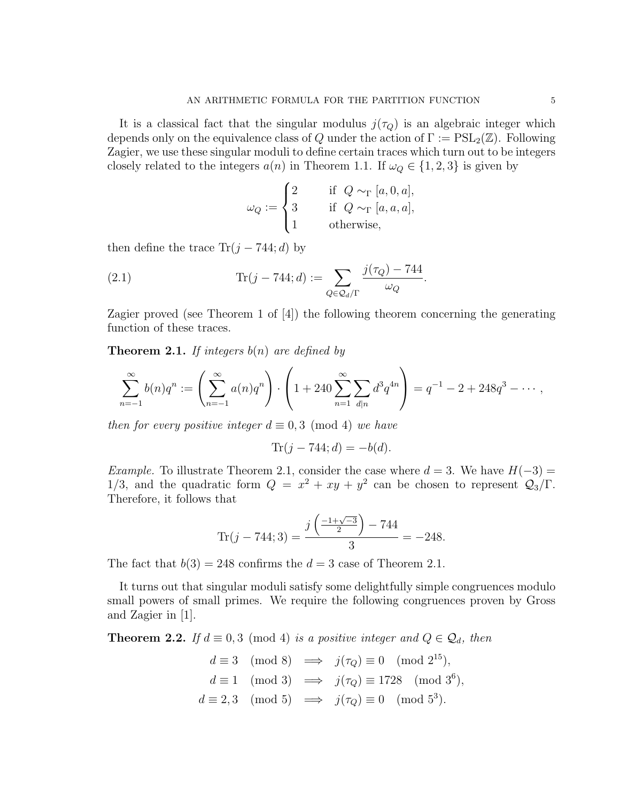It is a classical fact that the singular modulus  $j(\tau_Q)$  is an algebraic integer which depends only on the equivalence class of Q under the action of  $\Gamma := \mathrm{PSL}_2(\mathbb{Z})$ . Following Zagier, we use these singular moduli to define certain traces which turn out to be integers closely related to the integers  $a(n)$  in Theorem 1.1. If  $\omega_Q \in \{1,2,3\}$  is given by

$$
\omega_Q := \begin{cases} 2 & \text{if } Q \sim_\Gamma [a, 0, a], \\ 3 & \text{if } Q \sim_\Gamma [a, a, a], \\ 1 & \text{otherwise}, \end{cases}
$$

then define the trace  $\text{Tr}(j - 744; d)$  by

(2.1) 
$$
\text{Tr}(j - 744; d) := \sum_{Q \in \mathcal{Q}_d/\Gamma} \frac{j(\tau_Q) - 744}{\omega_Q}.
$$

Zagier proved (see Theorem 1 of [4]) the following theorem concerning the generating function of these traces.

**Theorem 2.1.** If integers  $b(n)$  are defined by

$$
\sum_{n=-1}^{\infty} b(n)q^n := \left(\sum_{n=-1}^{\infty} a(n)q^n\right) \cdot \left(1 + 240 \sum_{n=1}^{\infty} \sum_{d|n} d^3 q^{4n}\right) = q^{-1} - 2 + 248q^3 - \cdots,
$$

then for every positive integer  $d \equiv 0, 3 \pmod{4}$  we have

$$
Tr(j - 744; d) = -b(d).
$$

Example. To illustrate Theorem 2.1, consider the case where  $d = 3$ . We have  $H(-3) =$ 1/3, and the quadratic form  $Q = x^2 + xy + y^2$  can be chosen to represent  $Q_3/\Gamma$ . Therefore, it follows that

$$
\text{Tr}(j - 744; 3) = \frac{j\left(\frac{-1+\sqrt{-3}}{2}\right) - 744}{3} = -248.
$$

The fact that  $b(3) = 248$  confirms the  $d = 3$  case of Theorem 2.1.

It turns out that singular moduli satisfy some delightfully simple congruences modulo small powers of small primes. We require the following congruences proven by Gross and Zagier in [1].

**Theorem 2.2.** If  $d \equiv 0, 3 \pmod{4}$  is a positive integer and  $Q \in \mathcal{Q}_d$ , then

$$
d \equiv 3 \pmod{8} \implies j(\tau_Q) \equiv 0 \pmod{2^{15}},
$$
  
\n
$$
d \equiv 1 \pmod{3} \implies j(\tau_Q) \equiv 1728 \pmod{3^6},
$$
  
\n
$$
d \equiv 2,3 \pmod{5} \implies j(\tau_Q) \equiv 0 \pmod{5^3}.
$$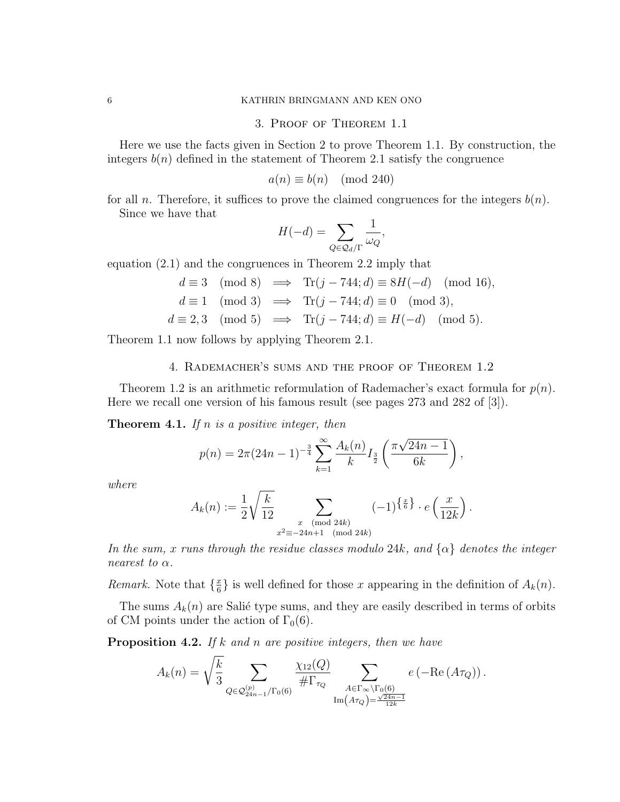## 3. Proof of Theorem 1.1

Here we use the facts given in Section 2 to prove Theorem 1.1. By construction, the integers  $b(n)$  defined in the statement of Theorem 2.1 satisfy the congruence

$$
a(n) \equiv b(n) \pmod{240}
$$

for all *n*. Therefore, it suffices to prove the claimed congruences for the integers  $b(n)$ . Since we have that

$$
H(-d) = \sum_{Q \in \mathcal{Q}_d/\Gamma} \frac{1}{\omega_Q},
$$

equation (2.1) and the congruences in Theorem 2.2 imply that

$$
d \equiv 3 \pmod{8} \implies \text{Tr}(j - 744; d) \equiv 8H(-d) \pmod{16},
$$
  
\n
$$
d \equiv 1 \pmod{3} \implies \text{Tr}(j - 744; d) \equiv 0 \pmod{3},
$$
  
\n
$$
d \equiv 2,3 \pmod{5} \implies \text{Tr}(j - 744; d) \equiv H(-d) \pmod{5}.
$$

Theorem 1.1 now follows by applying Theorem 2.1.

# 4. Rademacher's sums and the proof of Theorem 1.2

Theorem 1.2 is an arithmetic reformulation of Rademacher's exact formula for  $p(n)$ . Here we recall one version of his famous result (see pages 273 and 282 of [3]).

**Theorem 4.1.** If n is a positive integer, then

$$
p(n) = 2\pi (24n - 1)^{-\frac{3}{4}} \sum_{k=1}^{\infty} \frac{A_k(n)}{k} I_{\frac{3}{2}}\left(\frac{\pi \sqrt{24n - 1}}{6k}\right),
$$

where

$$
A_k(n) := \frac{1}{2} \sqrt{\frac{k}{12}} \sum_{\substack{x \pmod{24k} \\ x^2 \equiv -24n+1 \pmod{24k}}} (-1)^{\left\{\frac{x}{6}\right\}} \cdot e\left(\frac{x}{12k}\right).
$$

In the sum, x runs through the residue classes modulo 24k, and  $\{\alpha\}$  denotes the integer nearest to  $\alpha$ .

*Remark.* Note that  $\{\frac{x}{6}\}$  $\frac{x}{6}$  is well defined for those x appearing in the definition of  $A_k(n)$ .

The sums  $A_k(n)$  are Salié type sums, and they are easily described in terms of orbits of CM points under the action of  $\Gamma_0(6)$ .

**Proposition 4.2.** If  $k$  and  $n$  are positive integers, then we have

$$
A_k(n) = \sqrt{\frac{k}{3}} \sum_{Q \in \mathcal{Q}_{24n-1}^{(p)}/\Gamma_0(6)} \frac{\chi_{12}(Q)}{\# \Gamma_{\tau_Q}} \sum_{\substack{A \in \Gamma_{\infty} \backslash \Gamma_0(6) \\ \text{Im}(A\tau_Q) = \frac{\sqrt{24n-1}}{12k}}} e\left(-\text{Re}(A\tau_Q)\right).
$$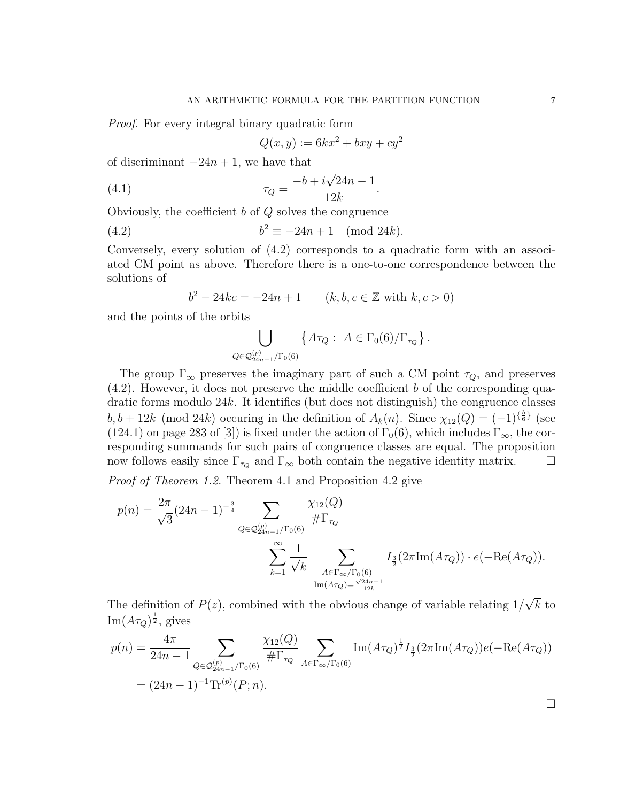Proof. For every integral binary quadratic form

$$
Q(x, y) := 6kx^2 + bxy + cy^2
$$

of discriminant  $-24n + 1$ , we have that

(4.1) 
$$
\tau_Q = \frac{-b + i\sqrt{24n - 1}}{12k}.
$$

Obviously, the coefficient  $b$  of  $Q$  solves the congruence

(4.2) 
$$
b^2 \equiv -24n + 1 \pmod{24k}.
$$

Conversely, every solution of (4.2) corresponds to a quadratic form with an associated CM point as above. Therefore there is a one-to-one correspondence between the solutions of

$$
b^2 - 24kc = -24n + 1 \qquad (k, b, c \in \mathbb{Z} \text{ with } k, c > 0)
$$

and the points of the orbits

$$
\bigcup_{Q \in \mathcal{Q}_{24n-1}^{(p)}/\Gamma_0(6)} \{A\tau_Q: A \in \Gamma_0(6)/\Gamma_{\tau_Q}\}.
$$

The group  $\Gamma_{\infty}$  preserves the imaginary part of such a CM point  $\tau_Q$ , and preserves  $(4.2)$ . However, it does not preserve the middle coefficient b of the corresponding quadratic forms modulo 24k. It identifies (but does not distinguish) the congruence classes  $b, b + 12k \pmod{24k}$  occuring in the definition of  $A_k(n)$ . Since  $\chi_{12}(Q) = (-1)^{\{\frac{k}{6}\}}$  (see (124.1) on page 283 of [3]) is fixed under the action of  $\Gamma_0(6)$ , which includes  $\Gamma_{\infty}$ , the corresponding summands for such pairs of congruence classes are equal. The proposition now follows easily since  $\Gamma_{\tau_Q}$  and  $\Gamma_{\infty}$  both contain the negative identity matrix.  $\Box$ 

Proof of Theorem 1.2. Theorem 4.1 and Proposition 4.2 give

$$
p(n) = \frac{2\pi}{\sqrt{3}} (24n - 1)^{-\frac{3}{4}} \sum_{Q \in \mathcal{Q}_{24n-1}^{(p)}/\Gamma_0(6)} \frac{\chi_{12}(Q)}{\# \Gamma_{\tau_Q}}
$$

$$
\sum_{k=1}^{\infty} \frac{1}{\sqrt{k}} \sum_{\substack{A \in \Gamma_{\infty}/\Gamma_0(6) \\ \text{Im}(A\tau_Q) = \frac{\sqrt{24n-1}}{12k}}} I_{\frac{3}{2}}(2\pi \text{Im}(A\tau_Q)) \cdot e(-\text{Re}(A\tau_Q)).
$$

The definition of  $P(z)$ , combined with the obvious change of variable relating  $1/$  $k$  to  $\operatorname{Im}(A\tau_Q)^{\frac{1}{2}}$ , gives

$$
p(n) = \frac{4\pi}{24n - 1} \sum_{Q \in \mathcal{Q}_{24n-1}^{(p)}/\Gamma_0(6)} \frac{\chi_{12}(Q)}{\# \Gamma_{\tau_Q}} \sum_{A \in \Gamma_{\infty}/\Gamma_0(6)} \text{Im}(A\tau_Q)^{\frac{1}{2}} I_{\frac{3}{2}}(2\pi \text{Im}(A\tau_Q)) e(-\text{Re}(A\tau_Q))
$$
  
=  $(24n - 1)^{-1} \text{Tr}^{(p)}(P; n).$ 

 $\Box$